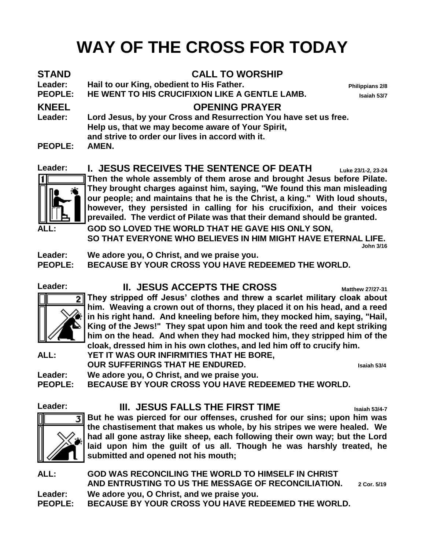# **WAY OF THE CROSS FOR TODAY**

| STAND<br><b>Leader:</b><br><b>PEOPLE:</b> | <b>CALL TO WORSHIP</b><br>Hail to our King, obedient to His Father.<br>HE WENT TO HIS CRUCIFIXION LIKE A GENTLE LAMB.                                                     | Philippians 2/8<br>Isaiah 53/7 |
|-------------------------------------------|---------------------------------------------------------------------------------------------------------------------------------------------------------------------------|--------------------------------|
| <b>KNEEL</b>                              | <b>OPENING PRAYER</b>                                                                                                                                                     |                                |
| <b>Leader:</b>                            | Lord Jesus, by your Cross and Resurrection You have set us free.<br>Help us, that we may become aware of Your Spirit,<br>and strive to order our lives in accord with it. |                                |
| <b>PEOPLE:</b>                            | AMEN.                                                                                                                                                                     |                                |
| Leader:                                   | <b>I. JESUS RECEIVES THE SENTENCE OF DEATH</b>                                                                                                                            | Luke 23/1-2, 23-24             |



**Then the whole assembly of them arose and brought Jesus before Pilate. They brought charges against him, saying, "We found this man misleading our people; and maintains that he is the Christ, a king." With loud shouts, however, they persisted in calling for his crucifixion, and their voices prevailed. The verdict of Pilate was that their demand should be granted.**

**ALL: GOD SO LOVED THE WORLD THAT HE GAVE HIS ONLY SON, SO THAT EVERYONE WHO BELIEVES IN HIM MIGHT HAVE ETERNAL LIFE. John 3/16** 

**Leader: We adore you, O Christ, and we praise you.**

**PEOPLE: BECAUSE BY YOUR CROSS YOU HAVE REDEEMED THE WORLD.**

#### Leader: **II. JESUS ACCEPTS THE CROSS Matthew 27/27-31**



**They stripped off Jesus' clothes and threw a scarlet military cloak about him. Weaving a crown out of thorns, they placed it on his head, and a reed in his right hand. And kneeling before him, they mocked him, saying, "Hail, King of the Jews!" They spat upon him and took the reed and kept striking him on the head. And when they had mocked him, they stripped him of the cloak, dressed him in his own clothes, and led him off to crucify him.**

**ALL: YET IT WAS OUR INFIRMITIES THAT HE BORE, OUR SUFFERINGS THAT HE ENDURED. Isaiah 53/4**

**Leader: We adore you, O Christ, and we praise you. PEOPLE: BECAUSE BY YOUR CROSS YOU HAVE REDEEMED THE WORLD.**

#### **Leader: III. JESUS FALLS THE FIRST TIME Isaiah 53/4-7**



**But he was pierced for our offenses, crushed for our sins; upon him was the chastisement that makes us whole, by his stripes we were healed. We had all gone astray like sheep, each following their own way; but the Lord laid upon him the guilt of us all. Though he was harshly treated, he submitted and opened not his mouth;**

**ALL: GOD WAS RECONCILING THE WORLD TO HIMSELF IN CHRIST AND ENTRUSTING TO US THE MESSAGE OF RECONCILIATION. 2 Cor. 5/19 Leader: We adore you, O Christ, and we praise you. PEOPLE: BECAUSE BY YOUR CROSS YOU HAVE REDEEMED THE WORLD.**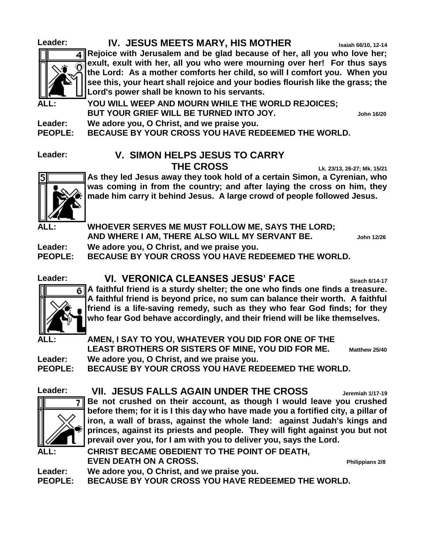# 41 n

**Leader: IV. JESUS MEETS MARY, HIS MOTHER Isaiah 66/10, 12-14**

**Rejoice with Jerusalem and be glad because of her, all you who love her; exult, exult with her, all you who were mourning over her! For thus says the Lord: As a mother comforts her child, so will I comfort you. When you see this, your heart shall rejoice and your bodies flourish like the grass; the Lord's power shall be known to his servants.**

YOU WILL WEEP AND MOURN WHILE THE WORLD REJOICES; **BUT YOUR GRIEF WILL BE TURNED INTO JOY. John 16/20**

**Leader: We adore you, O Christ, and we praise you.**

**PEOPLE: BECAUSE BY YOUR CROSS YOU HAVE REDEEMED THE WORLD.**

#### **Leader: V. SIMON HELPS JESUS TO CARRY THE CROSS Lk. 23/13, 26-27; Mk. 15/21**



**As they led Jesus away they took hold of a certain Simon, a Cyrenian, who was coming in from the country; and after laying the cross on him, they made him carry it behind Jesus. A large crowd of people followed Jesus.**

**ALL: WHOEVER SERVES ME MUST FOLLOW ME, SAYS THE LORD; AND WHERE I AM, THERE ALSO WILL MY SERVANT BE. John 12/26**

**Leader: We adore you, O Christ, and we praise you.**

**PEOPLE: BECAUSE BY YOUR CROSS YOU HAVE REDEEMED THE WORLD.**





**A faithful friend is a sturdy shelter; the one who finds one finds a treasure. A faithful friend is beyond price, no sum can balance their worth. A faithful friend is a life-saving remedy, such as they who fear God finds; for they who fear God behave accordingly, and their friend will be like themselves.**

**ALL: AMEN, I SAY TO YOU, WHATEVER YOU DID FOR ONE OF THE LEAST BROTHERS OR SISTERS OF MINE, YOU DID FOR ME. Matthew 25/40 Leader: We adore you, O Christ, and we praise you.**

**PEOPLE: BECAUSE BY YOUR CROSS YOU HAVE REDEEMED THE WORLD.**

**Leader: VII. JESUS FALLS AGAIN UNDER THE CROSS Jeremiah 1/17-19**



**Be not crushed on their account, as though I would leave you crushed before them; for it is I this day who have made you a fortified city, a pillar of iron, a wall of brass, against the whole land: against Judah's kings and princes, against its priests and people. They will fight against you but not prevail over you, for I am with you to deliver you, says the Lord.**

CHRIST BECAME OBEDIENT TO THE POINT OF DEATH. **EVEN DEATH ON A CROSS. Philippians 2/8**

**Leader: We adore you, O Christ, and we praise you.**

**PEOPLE: BECAUSE BY YOUR CROSS YOU HAVE REDEEMED THE WORLD.**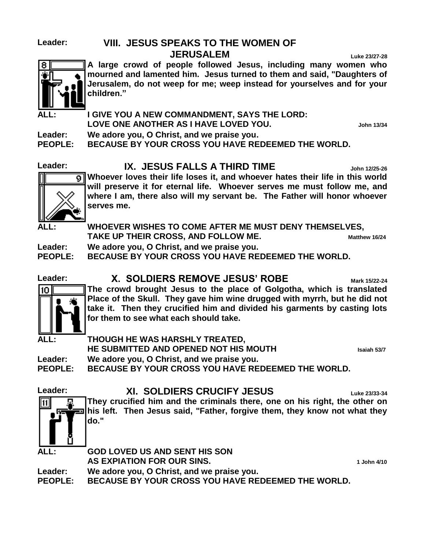## **Leader: VIII. JESUS SPEAKS TO THE WOMEN OF**

**JERUSALEM Luke 23/27-28**



**A large crowd of people followed Jesus, including many women who mourned and lamented him. Jesus turned to them and said, "Daughters of Jerusalem, do not weep for me; weep instead for yourselves and for your children."**

**ALL: I GIVE YOU A NEW COMMANDMENT, SAYS THE LORD: LOVE ONE ANOTHER AS I HAVE LOVED YOU. John 13/34**

**Leader: We adore you, O Christ, and we praise you.**

**PEOPLE: BECAUSE BY YOUR CROSS YOU HAVE REDEEMED THE WORLD.**

#### Leader: **IX. JESUS FALLS A THIRD TIME John 12/25-26**

**Whoever loves their life loses it, and whoever hates their life in this world will preserve it for eternal life. Whoever serves me must follow me, and where I am, there also will my servant be. The Father will honor whoever serves me.**

**ALL: WHOEVER WISHES TO COME AFTER ME MUST DENY THEMSELVES, TAKE UP THEIR CROSS, AND FOLLOW ME. Matthew 16/24**

**Leader: We adore you, O Christ, and we praise you.**

**PEOPLE: BECAUSE BY YOUR CROSS YOU HAVE REDEEMED THE WORLD.**

10



### **Leader: X. SOLDIERS REMOVE JESUS' ROBE Mark 15/22-24**

**The crowd brought Jesus to the place of Golgotha, which is translated Place of the Skull. They gave him wine drugged with myrrh, but he did not take it. Then they crucified him and divided his garments by casting lots for them to see what each should take.**

#### **ALL: THOUGH HE WAS HARSHLY TREATED,**

**HE SUBMITTED AND OPENED NOT HIS MOUTH Isaiah 53/7**

**Leader: We adore you, O Christ, and we praise you.**

**PEOPLE: BECAUSE BY YOUR CROSS YOU HAVE REDEEMED THE WORLD.**

### Leader: **XI. SOLDIERS CRUCIFY JESUS** Luke 23/33-34



**They crucified him and the criminals there, one on his right, the other on his left. Then Jesus said, "Father, forgive them, they know not what they do."**

**ALL: GOD LOVED US AND SENT HIS SON AS EXPIATION FOR OUR SINS. 1 John 4/10 Leader: We adore you, O Christ, and we praise you. PEOPLE: BECAUSE BY YOUR CROSS YOU HAVE REDEEMED THE WORLD.**